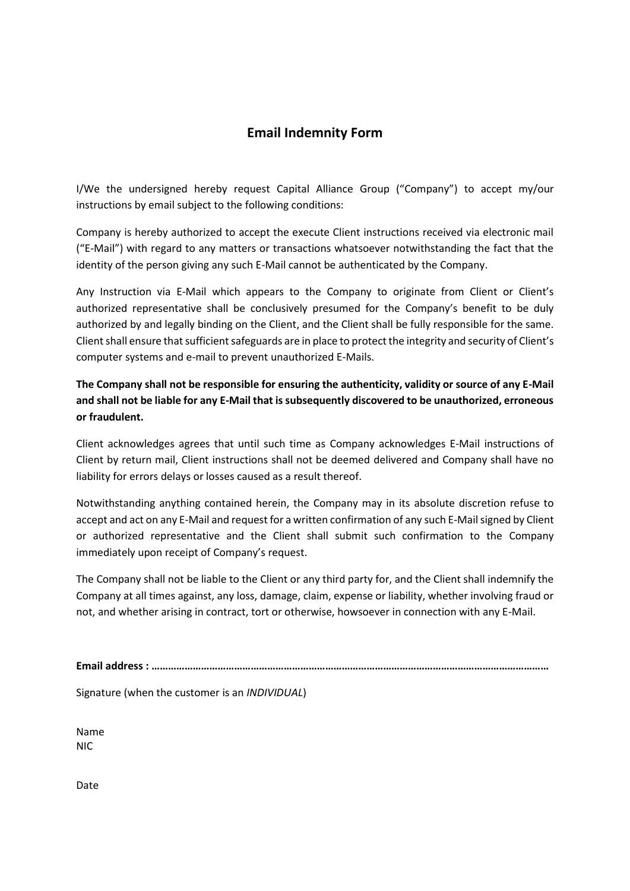## **Email Indemnity Form**

I/We the undersigned hereby request Capital Alliance Group ("Company") to accept my/our instructions by email subject to the following conditions:

Company is hereby authorized to accept the execute Client instructions received via electronic mail ("E-Mail") with regard to any matters or transactions whatsoever notwithstanding the fact that the identity of the person giving any such E-Mail cannot be authenticated by the Company.

Any Instruction via E-Mail which appears to the Company to originate from Client or Client's authorized representative shall be conclusively presumed for the Company's benefit to be duly authorized by and legally binding on the Client, and the Client shall be fully responsible for the same. Client shall ensure that sufficient safeguards are in place to protect the integrity and security of Client's computer systems and e-mail to prevent unauthorized E-Mails.

**The Company shall not be responsible for ensuring the authenticity, validity or source of any E-Mail and shall not be liable for any E-Mail that is subsequently discovered to be unauthorized, erroneous or fraudulent.**

Client acknowledges agrees that until such time as Company acknowledges E-Mail instructions of Client by return mail, Client instructions shall not be deemed delivered and Company shall have no liability for errors delays or losses caused as a result thereof.

Notwithstanding anything contained herein, the Company may in its absolute discretion refuse to accept and act on any E-Mail and request for a written confirmation of any such E-Mail signed by Client or authorized representative and the Client shall submit such confirmation to the Company immediately upon receipt of Company's request.

The Company shall not be liable to the Client or any third party for, and the Client shall indemnify the Company at all times against, any loss, damage, claim, expense or liability, whether involving fraud or not, and whether arising in contract, tort or otherwise, howsoever in connection with any E-Mail.

**Email address : ………………………………………………………………………………………………………………………………**

Signature (when the customer is an *INDIVIDUAL*)

Name NIC

Date